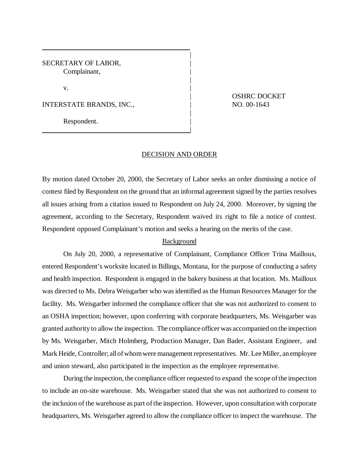SECRETARY OF LABOR, Complainant,

 $\mathbf v$ .

INTERSTATE BRANDS, INC.,  $\qquad$  NO. 00-1643

|

Respondent.

| OSHRC DOCKET

## DECISION AND ORDER

|

|

|

By motion dated October 20, 2000, the Secretary of Labor seeks an order dismissing a notice of contest filed by Respondent on the ground that an informal agreement signed by the parties resolves all issues arising from a citation issued to Respondent on July 24, 2000. Moreover, by signing the agreement, according to the Secretary, Respondent waived its right to file a notice of contest. Respondent opposed Complainant's motion and seeks a hearing on the merits of the case.

## Background

On July 20, 2000, a representative of Complainant, Compliance Officer Trina Mailloux, entered Respondent's worksite located in Billings, Montana, for the purpose of conducting a safety and health inspection. Respondent is engaged in the bakery business at that location. Ms. Mailloux was directed to Ms. Debra Weisgarber who was identified as the Human Resources Manager for the facility. Ms. Weisgarber informed the compliance officer that she was not authorized to consent to an OSHA inspection; however, upon conferring with corporate headquarters, Ms. Weisgarber was granted authority to allow the inspection. The compliance officer was accompanied on the inspection by Ms. Weisgarber, Mitch Holmberg, Production Manager, Dan Bader, Assistant Engineer, and Mark Heide, Controller; all of whom were management representatives. Mr. Lee Miller, an employee and union steward, also participated in the inspection as the employee representative.

During the inspection, the compliance officer requested to expand the scope of the inspection to include an on-site warehouse. Ms. Weisgarber stated that she was not authorized to consent to the inclusion of the warehouse as part of the inspection. However, upon consultation with corporate headquarters, Ms. Weisgarber agreed to allow the compliance officer to inspect the warehouse. The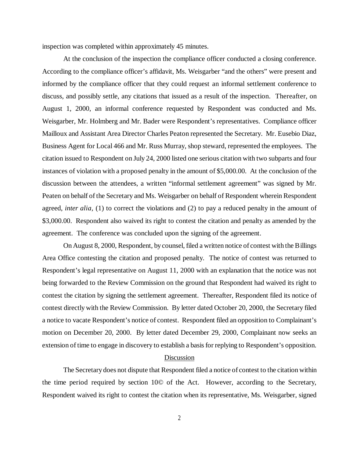inspection was completed within approximately 45 minutes.

At the conclusion of the inspection the compliance officer conducted a closing conference. According to the compliance officer's affidavit, Ms. Weisgarber "and the others" were present and informed by the compliance officer that they could request an informal settlement conference to discuss, and possibly settle, any citations that issued as a result of the inspection. Thereafter, on August 1, 2000, an informal conference requested by Respondent was conducted and Ms. Weisgarber, Mr. Holmberg and Mr. Bader were Respondent's representatives. Compliance officer Mailloux and Assistant Area Director Charles Peaton represented the Secretary. Mr. Eusebio Diaz, Business Agent for Local 466 and Mr. Russ Murray, shop steward, represented the employees. The citation issued to Respondent on July 24, 2000 listed one serious citation with two subparts and four instances of violation with a proposed penalty in the amount of \$5,000.00. At the conclusion of the discussion between the attendees, a written "informal settlement agreement" was signed by Mr. Peaten on behalf of the Secretary and Ms. Weisgarber on behalf of Respondent wherein Respondent agreed, *inter alia,* (1) to correct the violations and (2) to pay a reduced penalty in the amount of \$3,000.00. Respondent also waived its right to contest the citation and penalty as amended by the agreement. The conference was concluded upon the signing of the agreement.

On August 8, 2000, Respondent, by counsel, filed a written notice of contest with the Billings Area Office contesting the citation and proposed penalty. The notice of contest was returned to Respondent's legal representative on August 11, 2000 with an explanation that the notice was not being forwarded to the Review Commission on the ground that Respondent had waived its right to contest the citation by signing the settlement agreement. Thereafter, Respondent filed its notice of contest directly with the Review Commission. By letter dated October 20, 2000, the Secretary filed a notice to vacate Respondent's notice of contest. Respondent filed an opposition to Complainant's motion on December 20, 2000. By letter dated December 29, 2000, Complainant now seeks an extension of time to engage in discovery to establish a basis for replying to Respondent's opposition.

## Discussion

The Secretary does not dispute that Respondent filed a notice of contest to the citation within the time period required by section 10© of the Act. However, according to the Secretary, Respondent waived its right to contest the citation when its representative, Ms. Weisgarber, signed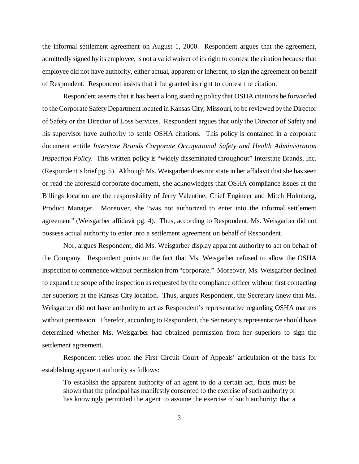the informal settlement agreement on August 1, 2000. Respondent argues that the agreement, admittedly signed by its employee, is not a valid waiver of its right to contest the citation because that employee did not have authority, either actual, apparent or inherent, to sign the agreement on behalf of Respondent. Respondent insists that it be granted its right to contest the citation.

Respondent asserts that it has been a long standing policy that OSHA citations be forwarded to the Corporate Safety Department located in Kansas City, Missouri, to be reviewed by the Director of Safety or the Director of Loss Services. Respondent argues that only the Director of Safety and his supervisor have authority to settle OSHA citations. This policy is contained in a corporate document entitle *Interstate Brands Corporate Occupational Safety and Health Administration Inspection Policy.* This written policy is "widely disseminated throughout" Interstate Brands, Inc. (Respondent's brief pg. 5). Although Ms. Weisgarber does not state in her affidavit that she has seen or read the aforesaid corporate document, she acknowledges that OSHA compliance issues at the Billings location are the responsibility of Jerry Valentine, Chief Engineer and Mitch Holmberg, Product Manager. Moreover, she "was not authorized to enter into the informal settlement agreement" (Weisgarber affidavit pg. 4). Thus, according to Respondent, Ms. Weisgarber did not possess actual authority to enter into a settlement agreement on behalf of Respondent.

Nor, argues Respondent, did Ms. Weisgarber display apparent authority to act on behalf of the Company. Respondent points to the fact that Ms. Weisgarber refused to allow the OSHA inspection to commence without permission from "corporate." Moreover, Ms. Weisgarber declined to expand the scope of the inspection as requested by the compliance officer without first contacting her superiors at the Kansas City location. Thus, argues Respondent, the Secretary knew that Ms. Weisgarber did not have authority to act as Respondent's representative regarding OSHA matters without permission. Therefor, according to Respondent, the Secretary's representative should have determined whether Ms. Weisgarber had obtained permission from her superiors to sign the settlement agreement.

Respondent relies upon the First Circuit Court of Appeals' articulation of the basis for establishing apparent authority as follows:

To establish the apparent authority of an agent to do a certain act, facts must be shown that the principal has manifestly consented to the exercise of such authority or has knowingly permitted the agent to assume the exercise of such authority; that a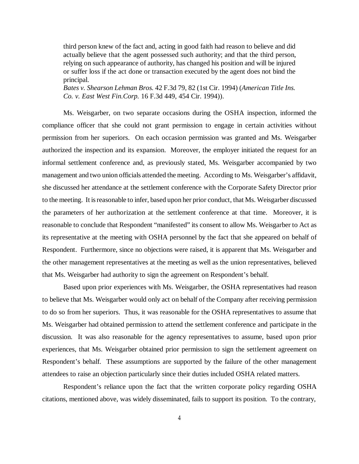third person knew of the fact and, acting in good faith had reason to believe and did actually believe that the agent possessed such authority; and that the third person, relying on such appearance of authority, has changed his position and will be injured or suffer loss if the act done or transaction executed by the agent does not bind the principal.

*Bates v. Shearson Lehman Bros.* 42 F.3d 79, 82 (1st Cir. 1994) (*American Title Ins. Co. v. East West Fin.Corp.* 16 F.3d 449, 454 Cir. 1994)).

Ms. Weisgarber, on two separate occasions during the OSHA inspection, informed the compliance officer that she could not grant permission to engage in certain activities without permission from her superiors. On each occasion permission was granted and Ms. Weisgarber authorized the inspection and its expansion. Moreover, the employer initiated the request for an informal settlement conference and, as previously stated, Ms. Weisgarber accompanied by two management and two union officials attended the meeting. According to Ms. Weisgarber's affidavit, she discussed her attendance at the settlement conference with the Corporate Safety Director prior to the meeting. It is reasonable to infer, based upon her prior conduct, that Ms. Weisgarber discussed the parameters of her authorization at the settlement conference at that time. Moreover, it is reasonable to conclude that Respondent "manifested" its consent to allow Ms. Weisgarber to Act as its representative at the meeting with OSHA personnel by the fact that she appeared on behalf of Respondent. Furthermore, since no objections were raised, it is apparent that Ms. Weisgarber and the other management representatives at the meeting as well as the union representatives, believed that Ms. Weisgarber had authority to sign the agreement on Respondent's behalf.

Based upon prior experiences with Ms. Weisgarber, the OSHA representatives had reason to believe that Ms. Weisgarber would only act on behalf of the Company after receiving permission to do so from her superiors. Thus, it was reasonable for the OSHA representatives to assume that Ms. Weisgarber had obtained permission to attend the settlement conference and participate in the discussion. It was also reasonable for the agency representatives to assume, based upon prior experiences, that Ms. Weisgarber obtained prior permission to sign the settlement agreement on Respondent's behalf. These assumptions are supported by the failure of the other management attendees to raise an objection particularly since their duties included OSHA related matters.

Respondent's reliance upon the fact that the written corporate policy regarding OSHA citations, mentioned above, was widely disseminated, fails to support its position. To the contrary,